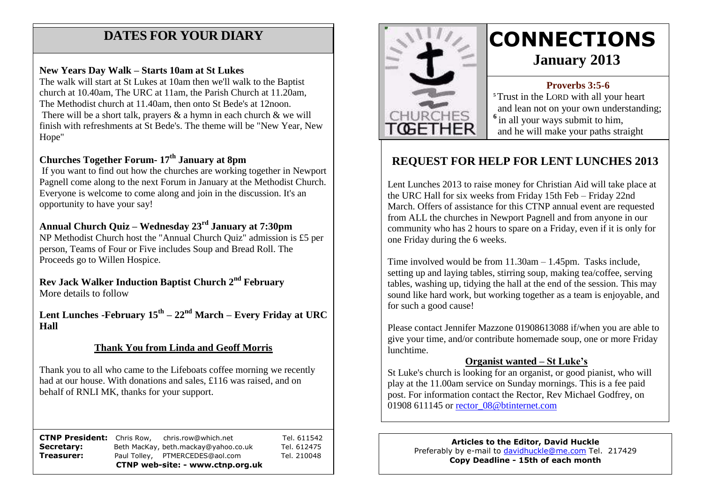# **DATES FOR YOUR DIARY**

# **New Years Day Walk – Starts 10am at St Lukes**

church at 10.40am, The URC at 11am, the Parish Church at  $11.20$ am, The Methodist church at 11.40am, then onto St Bede's at 12noon. The walk will start at St Lukes at 10am then we'll walk to the Baptist There will be a short talk, prayers  $\&$  a hymn in each church  $\&$  we will finish with refreshments at St Bede's. The theme will be "New Year, New Hope"

# **Churches Together Forum- 17th January at 8pm**

If you want to find out how the churches are working together in Newport Pagnell come along to the next Forum in January at the Methodist Church. Everyone is welcome to come along and join in the discussion. It's an opportunity to have your say!

# **Annual Church Quiz – Wednesday 23rd January at 7:30pm**

NP Methodist Church host the "Annual Church Quiz" admission is £5 per person, Teams of Four or Five includes Soup and Bread Roll. The Proceeds go to Willen Hospice.

**Rev Jack Walker Induction Baptist Church 2nd February** More details to follow

**Lent Lunches -February 15th – 22nd March – Every Friday at URC Hall**

# **Thank You from Linda and Geoff Morris**

Thank you to all who came to the Lifeboats coffee morning we recently had at our house. With donations and sales, £116 was raised, and on behalf of RNLI MK, thanks for your support.

**CTNP President:** Chris Row, chris.row@which.net Tel. 611542 **Secretary:** Beth MacKay, beth.mackay@yahoo.co.uk Tel. 612475 **Treasurer:** Paul Tolley, PTMERCEDES@aol.com Tel. 210048 **CTNP web-site: - www.ctnp.org.uk**



# **CONNECTIONS**

**January 2013**

# **Proverbs 3:5-6**

**<sup>5</sup>**Trust in the LORD with all your heart and lean not on your own understanding; <sup>6</sup> in all your ways submit to him, and he will make your paths straight

# **REQUEST FOR HELP FOR LENT LUNCHES 2013**

Lent Lunches 2013 to raise money for Christian Aid will take place at the URC Hall for six weeks from Friday 15th Feb – Friday 22nd March. Offers of assistance for this CTNP annual event are requested from ALL the churches in Newport Pagnell and from anyone in our community who has 2 hours to spare on a Friday, even if it is only for one Friday during the 6 weeks.

Time involved would be from  $11.30$ am  $-1.45$ pm. Tasks include, setting up and laying tables, stirring soup, making tea/coffee, serving tables, washing up, tidying the hall at the end of the session. This may sound like hard work, but working together as a team is enjoyable, and for such a good cause!

Please contact Jennifer Mazzone 01908613088 if/when you are able to give your time, and/or contribute homemade soup, one or more Friday lunchtime.

## **Organist wanted – St Luke's**

St Luke's church is looking for an organist, or good pianist, who will play at the 11.00am service on Sunday mornings. This is a fee paid post. For information contact the Rector, Rev Michael Godfrey, on 01908 611145 or rector 08@btinternet.com

> **Articles to the Editor, David Huckle** Preferably by e-mail to [davidhuckle@me.com](mailto:davidhuckle@me.com) Tel. 217429 **Copy Deadline - 15th of each month**